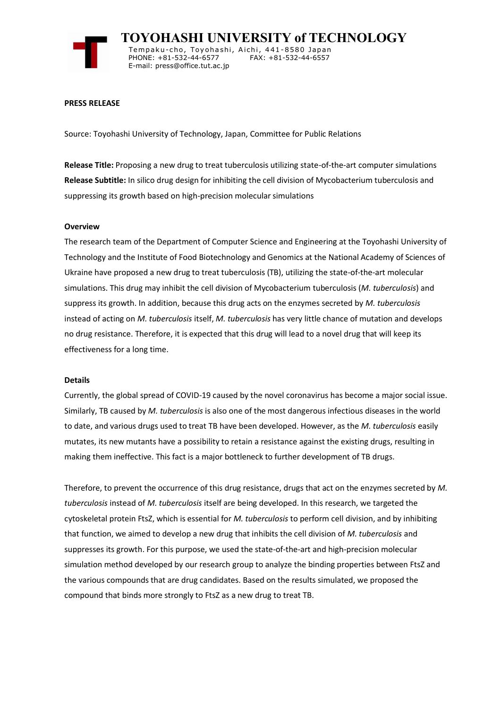

 **TOYOHASHI UNIVERSITY of TECHNOLOGY** Tempaku-cho, Toyohashi, Aichi, 441-8580 Japan<br>PHONE: +81-532-44-6577 FAX: +81-532-44-6557 PHONE: +81-532-44-6577 E-mail: press@office.tut.ac.jp

### **PRESS RELEASE**

Source: Toyohashi University of Technology, Japan, Committee for Public Relations

**Release Title:** Proposing a new drug to treat tuberculosis utilizing state-of-the-art computer simulations **Release Subtitle:** In silico drug design for inhibiting the cell division of Mycobacterium tuberculosis and suppressing its growth based on high-precision molecular simulations

#### **Overview**

The research team of the Department of Computer Science and Engineering at the Toyohashi University of Technology and the Institute of Food Biotechnology and Genomics at the National Academy of Sciences of Ukraine have proposed a new drug to treat tuberculosis (TB), utilizing the state-of-the-art molecular simulations. This drug may inhibit the cell division of Mycobacterium tuberculosis (*M. tuberculosis*) and suppress its growth. In addition, because this drug acts on the enzymes secreted by *M. tuberculosis* instead of acting on *M. tuberculosis* itself, *M. tuberculosis* has very little chance of mutation and develops no drug resistance. Therefore, it is expected that this drug will lead to a novel drug that will keep its effectiveness for a long time.

#### **Details**

Currently, the global spread of COVID-19 caused by the novel coronavirus has become a major social issue. Similarly, TB caused by *M. tuberculosis* is also one of the most dangerous infectious diseases in the world to date, and various drugs used to treat TB have been developed. However, as the *M. tuberculosis* easily mutates, its new mutants have a possibility to retain a resistance against the existing drugs, resulting in making them ineffective. This fact is a major bottleneck to further development of TB drugs.

Therefore, to prevent the occurrence of this drug resistance, drugs that act on the enzymes secreted by *M. tuberculosis* instead of *M. tuberculosis* itself are being developed. In this research, we targeted the cytoskeletal protein FtsZ, which is essential for *M. tuberculosis* to perform cell division, and by inhibiting that function, we aimed to develop a new drug that inhibits the cell division of *M. tuberculosis* and suppresses its growth. For this purpose, we used the state-of-the-art and high-precision molecular simulation method developed by our research group to analyze the binding properties between FtsZ and the various compounds that are drug candidates. Based on the results simulated, we proposed the compound that binds more strongly to FtsZ as a new drug to treat TB.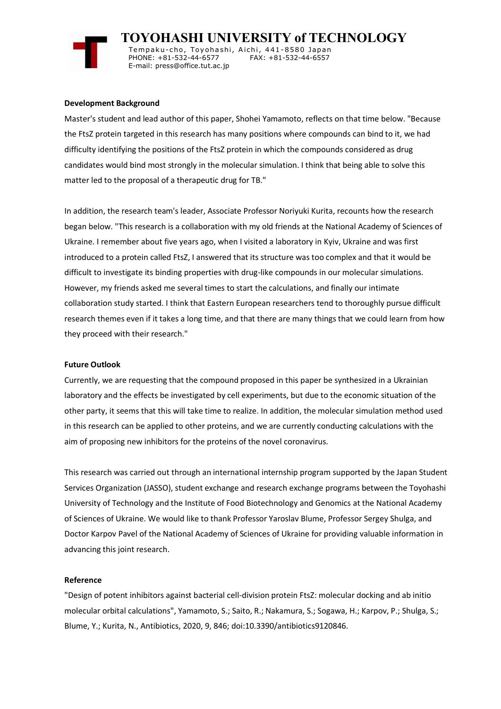

 **TOYOHASHI UNIVERSITY of TECHNOLOGY** Tempaku-cho, Toyohashi, Aichi, 441-8580 Japan<br>PHONE: +81-532-44-6577 FAX: +81-532-44-6557

PHONE: +81-532-44-6577 E-mail: press@office.tut.ac.jp

## **Development Background**

Master's student and lead author of this paper, Shohei Yamamoto, reflects on that time below. "Because the FtsZ protein targeted in this research has many positions where compounds can bind to it, we had difficulty identifying the positions of the FtsZ protein in which the compounds considered as drug candidates would bind most strongly in the molecular simulation. I think that being able to solve this matter led to the proposal of a therapeutic drug for TB."

In addition, the research team's leader, Associate Professor Noriyuki Kurita, recounts how the research began below. "This research is a collaboration with my old friends at the National Academy of Sciences of Ukraine. I remember about five years ago, when I visited a laboratory in Kyiv, Ukraine and was first introduced to a protein called FtsZ, I answered that its structure was too complex and that it would be difficult to investigate its binding properties with drug-like compounds in our molecular simulations. However, my friends asked me several times to start the calculations, and finally our intimate collaboration study started. I think that Eastern European researchers tend to thoroughly pursue difficult research themes even if it takes a long time, and that there are many things that we could learn from how they proceed with their research."

# **Future Outlook**

Currently, we are requesting that the compound proposed in this paper be synthesized in a Ukrainian laboratory and the effects be investigated by cell experiments, but due to the economic situation of the other party, it seems that this will take time to realize. In addition, the molecular simulation method used in this research can be applied to other proteins, and we are currently conducting calculations with the aim of proposing new inhibitors for the proteins of the novel coronavirus.

This research was carried out through an international internship program supported by the Japan Student Services Organization (JASSO), student exchange and research exchange programs between the Toyohashi University of Technology and the Institute of Food Biotechnology and Genomics at the National Academy of Sciences of Ukraine. We would like to thank Professor Yaroslav Blume, Professor Sergey Shulga, and Doctor Karpov Pavel of the National Academy of Sciences of Ukraine for providing valuable information in advancing this joint research.

## **Reference**

"Design of potent inhibitors against bacterial cell-division protein FtsZ: molecular docking and ab initio molecular orbital calculations", Yamamoto, S.; Saito, R.; Nakamura, S.; Sogawa, H.; Karpov, P.; Shulga, S.; Blume, Y.; Kurita, N., Antibiotics, 2020, 9, 846; doi:10.3390/antibiotics9120846.